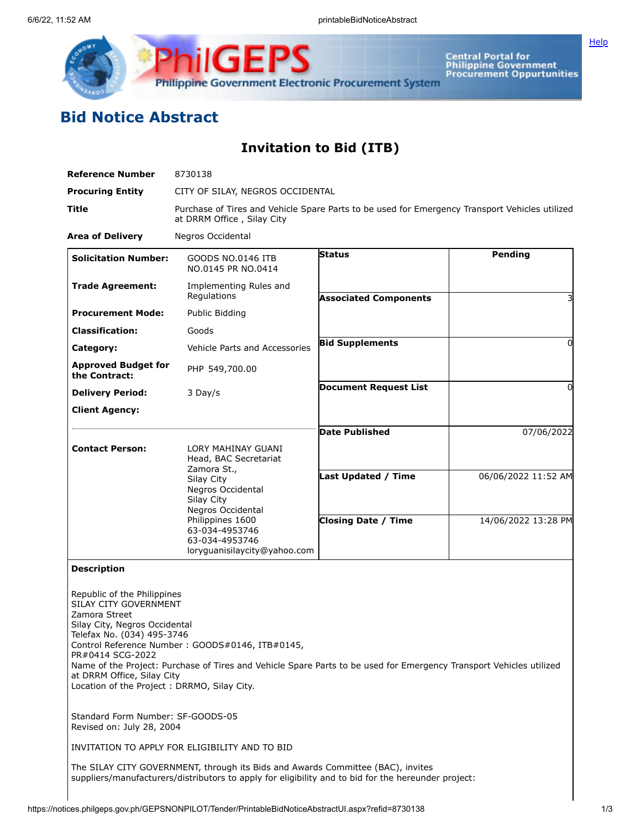

Central Portal for<br>Philippine Government<br>Procurement Oppurtunities

## **Bid Notice Abstract**

**Invitation to Bid (ITB)**

| <b>Reference Number</b>                                                                                                                                                                                                                | 8730138                                                                                                                                                                                |                              |                     |  |  |  |
|----------------------------------------------------------------------------------------------------------------------------------------------------------------------------------------------------------------------------------------|----------------------------------------------------------------------------------------------------------------------------------------------------------------------------------------|------------------------------|---------------------|--|--|--|
| <b>Procuring Entity</b>                                                                                                                                                                                                                | CITY OF SILAY, NEGROS OCCIDENTAL                                                                                                                                                       |                              |                     |  |  |  |
| Title                                                                                                                                                                                                                                  | Purchase of Tires and Vehicle Spare Parts to be used for Emergency Transport Vehicles utilized<br>at DRRM Office, Silay City                                                           |                              |                     |  |  |  |
| <b>Area of Delivery</b>                                                                                                                                                                                                                | Negros Occidental                                                                                                                                                                      |                              |                     |  |  |  |
| <b>Solicitation Number:</b>                                                                                                                                                                                                            | GOODS NO.0146 ITB<br>NO.0145 PR NO.0414                                                                                                                                                | <b>Status</b>                | <b>Pending</b>      |  |  |  |
| <b>Trade Agreement:</b>                                                                                                                                                                                                                | Implementing Rules and<br>Regulations                                                                                                                                                  | <b>Associated Components</b> |                     |  |  |  |
| <b>Procurement Mode:</b>                                                                                                                                                                                                               | Public Bidding                                                                                                                                                                         |                              |                     |  |  |  |
| <b>Classification:</b>                                                                                                                                                                                                                 | Goods                                                                                                                                                                                  |                              |                     |  |  |  |
| Category:                                                                                                                                                                                                                              | Vehicle Parts and Accessories                                                                                                                                                          | <b>Bid Supplements</b>       | 0                   |  |  |  |
| <b>Approved Budget for</b><br>the Contract:                                                                                                                                                                                            | PHP 549,700.00                                                                                                                                                                         |                              |                     |  |  |  |
| <b>Delivery Period:</b>                                                                                                                                                                                                                | 3 Day/s                                                                                                                                                                                | <b>Document Request List</b> | 0                   |  |  |  |
| <b>Client Agency:</b>                                                                                                                                                                                                                  |                                                                                                                                                                                        |                              |                     |  |  |  |
|                                                                                                                                                                                                                                        |                                                                                                                                                                                        | <b>Date Published</b>        | 07/06/2022          |  |  |  |
| <b>Contact Person:</b>                                                                                                                                                                                                                 | LORY MAHINAY GUANI<br>Head, BAC Secretariat                                                                                                                                            |                              |                     |  |  |  |
|                                                                                                                                                                                                                                        | Zamora St.,<br>Silay City<br>Negros Occidental<br>Silay City<br>Negros Occidental<br>Philippines 1600<br>63-034-4953746<br>63-034-4953746<br>loryguanisilaycity@yahoo.com              | <b>Last Updated / Time</b>   | 06/06/2022 11:52 AM |  |  |  |
|                                                                                                                                                                                                                                        |                                                                                                                                                                                        | <b>Closing Date / Time</b>   | 14/06/2022 13:28 PM |  |  |  |
| <b>Description</b>                                                                                                                                                                                                                     |                                                                                                                                                                                        |                              |                     |  |  |  |
| Republic of the Philippines<br>SILAY CITY GOVERNMENT<br>Zamora Street<br>Silay City, Negros Occidental<br>Telefax No. (034) 495-3746<br>PR#0414 SCG-2022<br>at DRRM Office, Silay City<br>Location of the Project : DRRMO, Silay City. | Control Reference Number: GOODS#0146, ITB#0145,<br>Name of the Project: Purchase of Tires and Vehicle Spare Parts to be used for Emergency Transport Vehicles utilized                 |                              |                     |  |  |  |
| Standard Form Number: SF-GOODS-05<br>Revised on: July 28, 2004                                                                                                                                                                         |                                                                                                                                                                                        |                              |                     |  |  |  |
|                                                                                                                                                                                                                                        | INVITATION TO APPLY FOR ELIGIBILITY AND TO BID                                                                                                                                         |                              |                     |  |  |  |
|                                                                                                                                                                                                                                        | The SILAY CITY GOVERNMENT, through its Bids and Awards Committee (BAC), invites<br>suppliers/manufacturers/distributors to apply for eligibility and to bid for the hereunder project: |                              |                     |  |  |  |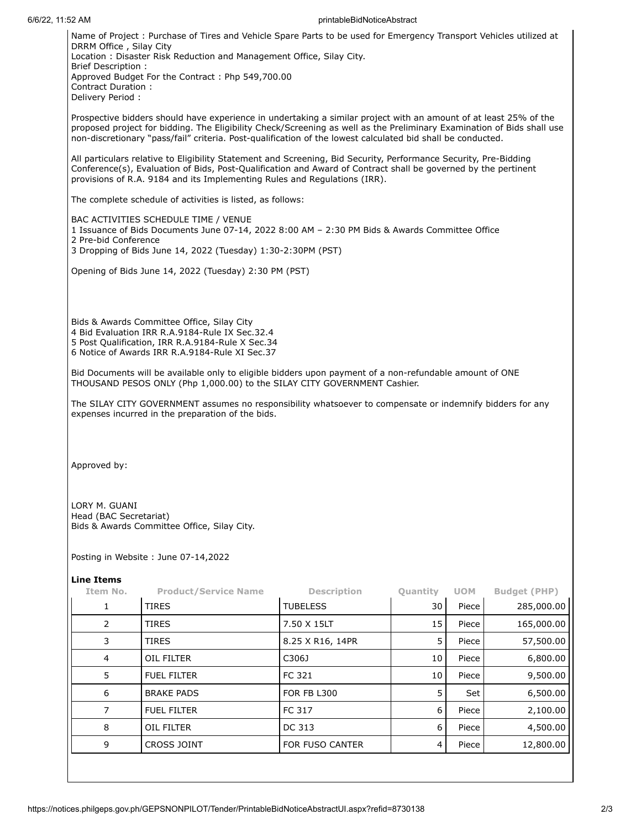## 6/6/22, 11:52 AM printableBidNoticeAbstract

Name of Project : Purchase of Tires and Vehicle Spare Parts to be used for Emergency Transport Vehicles utilized at DRRM Office , Silay City Location : Disaster Risk Reduction and Management Office, Silay City. Brief Description : Approved Budget For the Contract : Php 549,700.00 Contract Duration : Delivery Period :

Prospective bidders should have experience in undertaking a similar project with an amount of at least 25% of the proposed project for bidding. The Eligibility Check/Screening as well as the Preliminary Examination of Bids shall use non-discretionary "pass/fail" criteria. Post-qualification of the lowest calculated bid shall be conducted.

All particulars relative to Eligibility Statement and Screening, Bid Security, Performance Security, Pre-Bidding Conference(s), Evaluation of Bids, Post-Qualification and Award of Contract shall be governed by the pertinent provisions of R.A. 9184 and its Implementing Rules and Regulations (IRR).

The complete schedule of activities is listed, as follows:

BAC ACTIVITIES SCHEDULE TIME / VENUE

1 Issuance of Bids Documents June 07-14, 2022 8:00 AM – 2:30 PM Bids & Awards Committee Office 2 Pre-bid Conference 3 Dropping of Bids June 14, 2022 (Tuesday) 1:30-2:30PM (PST)

Opening of Bids June 14, 2022 (Tuesday) 2:30 PM (PST)

Bids & Awards Committee Office, Silay City Bid Evaluation IRR R.A.9184-Rule IX Sec.32.4 Post Qualification, IRR R.A.9184-Rule X Sec.34 Notice of Awards IRR R.A.9184-Rule XI Sec.37

Bid Documents will be available only to eligible bidders upon payment of a non-refundable amount of ONE THOUSAND PESOS ONLY (Php 1,000.00) to the SILAY CITY GOVERNMENT Cashier.

The SILAY CITY GOVERNMENT assumes no responsibility whatsoever to compensate or indemnify bidders for any expenses incurred in the preparation of the bids.

Approved by:

LORY M. GUANI Head (BAC Secretariat) Bids & Awards Committee Office, Silay City.

Posting in Website : June 07-14,2022

## **Line Items**

| Item No.       | <b>Product/Service Name</b> | <b>Description</b>     | Quantity | <b>UOM</b> | <b>Budget (PHP)</b> |
|----------------|-----------------------------|------------------------|----------|------------|---------------------|
| 1              | <b>TIRES</b>                | <b>TUBELESS</b>        | 30       | Piece      | 285,000.00          |
| 2              | <b>TIRES</b>                | 7.50 X 15LT            | 15       | Piece      | 165,000.00          |
| 3              | <b>TIRES</b>                | 8.25 X R16, 14PR       | 5        | Piece      | 57,500.00           |
| $\overline{4}$ | <b>OIL FILTER</b>           | C306J                  | 10       | Piece      | 6,800.00            |
| 5              | <b>FUEL FILTER</b>          | FC 321                 | 10       | Piece      | 9,500.00            |
| 6              | <b>BRAKE PADS</b>           | <b>FOR FB L300</b>     | 5        | Set        | 6,500.00            |
|                | <b>FUEL FILTER</b>          | FC 317                 | 6        | Piece      | 2,100.00            |
| 8              | OIL FILTER                  | DC 313                 | 6        | Piece      | 4,500.00            |
| 9              | CROSS JOINT                 | <b>FOR FUSO CANTER</b> | 4        | Piece      | 12,800.00           |
|                |                             |                        |          |            |                     |